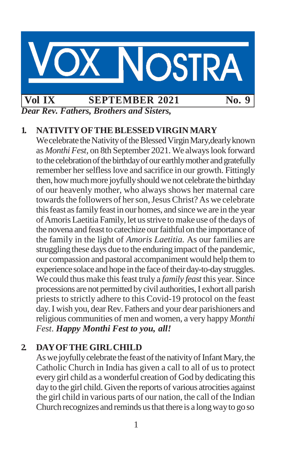

*Dear Rev. Fathers, Brothers and Sisters,*

#### **1. NATIVITYOFTHE BLESSEDVIRGIN MARY**

We celebrate the Nativity of the Blessed Virgin Mary, dearly known as *Monthi Fest*, on 8th September 2021. We always look forward to the celebration of the birthday of our earthly mother and gratefully remember her selfless love and sacrifice in our growth. Fittingly then, how much more joyfully should we not celebrate the birthday of our heavenly mother, who always shows her maternal care towards the followers of her son, Jesus Christ? As we celebrate this feast as family feast in our homes, and since we are in the year ofAmorisLaetitia Family, let usstrive to make use of the days of the novena and feast to catechize our faithful on the importance of the family in the light of *Amoris Laetitia.* As our families are struggling these days due to the enduring impact of the pandemic, our compassion and pastoral accompaniment would help themto experience solace and hope in the face of their day-to-day struggles. We could thus make thisfeast truly a *family feast* this year. Since processions are not permitted bycivil authorities,I exhort all parish priests to strictly adhere to this Covid-19 protocol on the feast day. I wish you, dear Rev. Fathers and your dear parishioners and religious communities of men and women, a very happy *Monthi Fest*. *Happy Monthi Fest to you, all!*

## **2. DAYOFTHE GIRLCHILD**

As we joyfully celebrate the feast of the nativity of Infant Mary, the Catholic Church in India has given a call to all of us to protect every girl child as a wonderful creation of God by dedicating this day to the girl child. Given the reports of various atrocities against the girl child in various parts of our nation, the call of the Indian Church recognizes and reminds us that there is a long way to go so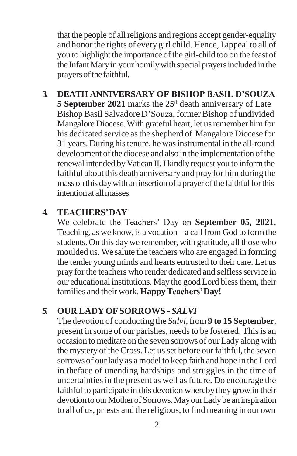that the people of all religions and regions accept gender-equality and honorthe rights of every girl child. Hence, I appeal to all of you to highlight the importance of the girl-child too on the feast of the Infant Mary in your homily with special prayers included in the prayers of the faithful.

**3. DEATH ANNIVERSARY OF BISHOP BASIL D'SOUZA 5 September 2021** marks the 25<sup>th</sup> death anniversary of Late Bishop Basil Salvadore D'Souza, former Bishop of undivided Mangalore Diocese. With grateful heart, let us remember him for his dedicated service asthe shepherd of Mangalore Diocese for 31 years. During histenure, he wasinstrumental in the all-round development of the diocese and also in the implementation of the renewal intended by Vatican II. I kindly request you to inform the faithful about this death anniversaryand pray for him during the mass on this day with an insertion of a prayer of the faithful for this intentionat allmasses.

#### **4. TEACHERS'DAY**

We celebrate the Teachers' Day on **September 05, 2021.**  Teaching, as we know, is a vocation – a call from God to form the students. On this day we remember, with gratitude, all those who moulded us. We salute the teachers who are engaged in forming the tender young minds and hearts entrusted to their care. Let us pray for the teachers who render dedicated and selfless service in our educational institutions. May the good Lord bless them, their families and their work.**HappyTeachers'Day!**

## *5.* **OUR LADYOFSORROWS -** *SALVI*

The devotion of conducting the *Salvi*, from 9 to 15 September, present in some of our parishes, needs to be fostered. This is an occasion to meditate on the seven sorrows of our Lady along with the mystery of the Cross. Let us set before our faithful, the seven sorrows of our lady as a model to keep faith and hope in the Lord in theface of unending hardships and struggles in the time of uncertainties in the present as well as future. Do encourage the faithful to participate in this devotion whereby they grow in their devotion to our Mother of Sorrows. May our Lady be an inspiration to all of us, priests and the religious, to findmeaning in our own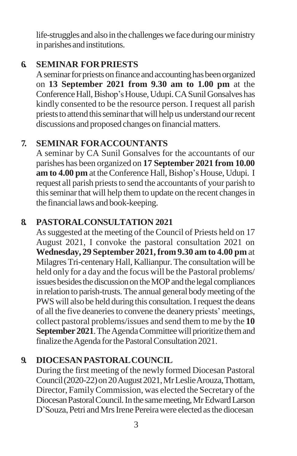life-struggles and also in the challenges we face during our ministry in parishes and institutions.

# **6. SEMINAR FORPRIESTS**

A seminar for priests on finance and accounting has been organized on **13 September 2021 from 9.30 am to 1.00 pm** at the Conference Hall, Bishop's House, Udupi. CA Sunil Gonsalves has kindly consented to be the resource person. I request all parish priests to attend this seminar that will help us understand our recent discussions and proposed changes on financial matters.

# **7. SEMINAR FORACCOUNTANTS**

A seminar by CA Sunil Gonsalves for the accountants of our parishes has been organized on **17 September 2021 from 10.00 am to 4.00 pm** at the Conference Hall, Bishop's House, Udupi. I request all parish priests to send the accountants of your parish to this seminar that will help them to update on the recent changes in the financiallaws and book-keeping.

# **8. PASTORALCONSULTATION 2021**

Assuggested at the meeting of the Council of Priests held on 17 August 2021, I convoke the pastoral consultation 2021 on **Wednesday, 29 September 2021, from 9.30 am to 4.00 pm** at MilagresTri-centenaryHall, Kallianpur.The consultation will be held only for a day and the focus will be the Pastoral problems/ issues besides the discussion on the MOP and the legal compliances in relation to parish-trusts. The annual general body meeting of the PWS will also be held during this consultation. I request the deans of all the five deaneries to convene the deanery priests' meetings, collect pastoral problems/issues and send them to me by the **10 September 2021**. The Agenda Committee will prioritize them and finalize the Agenda for the Pastoral Consultation 2021.

## **9. DIOCESANPASTORALCOUNCIL**

During the first meeting of the newly formed Diocesan Pastoral Council(2020-22)on20August2021,MrLeslieArouza,Thottam, Director, Family Commission, was elected the Secretary of the Diocesan Pastoral Council. In the same meeting, Mr Edward Larson D'Souza, Petri and Mrs Irene Pereira were elected as the diocesan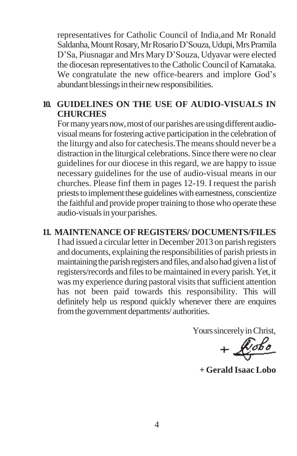representatives for Catholic Council of India,and Mr Ronald Saldanha, Mount Rosary, Mr Rosario D'Souza, Udupi, Mrs Pramila D'Sa, Piusnagar and Mrs Mary D'Souza, Udyavar were elected the diocesan representatives to the Catholic Council of Karnataka. We congratulate the new office-bearers and implore God's abundant blessings in their new responsibilities.

#### **10. GUIDELINES ON THE USE OF AUDIO-VISUALS IN CHURCHES**

For many years now, most of our parishes are using different audiovisual means for fostering active participation in the celebration of the liturgy and also for cate chesis. The means should never be a distraction in the liturgical celebrations. Since there were no clear guidelines for our diocese in thisregard, we are happy to issue necessary guidelines for the use of audio-visual means in our churches. Please finf them in pages 12-19. I request the parish priests to implement these guidelines with earnestness, conscientize the faithful and provide propertraining to those who operate these audio-visuals in your parishes.

#### **11. MAINTENANCE OF REGISTERS/ DOCUMENTS/FILES**

I had issued a circular letter in December 2013 on parish registers and documents, explaining the responsibilities of parish priests in maintaining the parish registers and files, and also had given a list of registers/records and files to be maintained in every parish. Yet, it was my experience during pastoral visits that sufficient attention has not been paid towards this responsibility. This will definitely help us respond quickly whenever there are enquires from the government departments/ authorities.

Yours sincerely in Christ,

 $+$  $\sqrt{\mathscr{C}^{bbo}}$ 

**+ Gerald Isaac Lobo**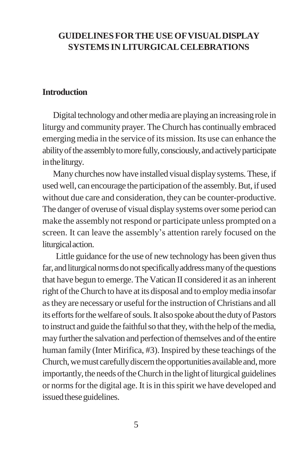#### **GUIDELINESFORTHE USE OFVISUALDISPLAY SYSTEMS IN LITURGICALCELEBRATIONS**

#### **Introduction**

Digital technology and other media are playing an increasing role in liturgy and community prayer. TheChurch has continually embraced emerging media in the service of its mission. Its use can enhance the ability of the assembly to more fully, consciously, and actively participate in the liturgy.

Many churches now have installed visual displaysystems.These, if used well, can encourage the participation of the assembly. But, if used without due care and consideration, they can be counter-productive. The danger of overuse of visual display systems oversome period can make the assembly not respond or participate unless prompted on a screen. It can leave the assembly's attention rarely focused on the liturgicalaction.

Little guidance for the use of new technology has been given thus far, and liturgical norms do not specifically address many of the questions that have begun to emerge. The Vatican II considered it as an inherent right of the Church to have at its disposal and to employ media insofar as they are necessary or useful for the instruction of Christians and all its efforts for the welfare of souls. It also spoke about the duty of Pastors to instruct and guide the faithful so that they, with the help of the media, may further the salvation and perfection of themselves and of the entire human family (Inter Mirifica, #3). Inspired by these teachings of the Church, we must carefully discern the opportunities available and, more importantly, the needs of the Church in the light of liturgical guidelines or norms for the digital age. It is in this spirit we have developed and issued these guidelines.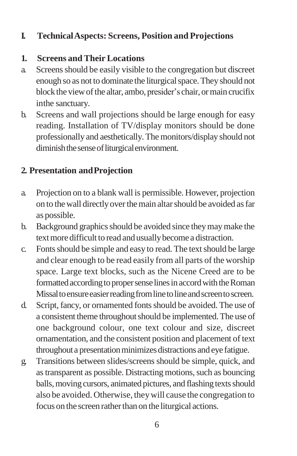## **I. TechnicalAspects: Screens, Position and Projections**

# **1. Screens and Their Locations**

- a. Screensshould be easily visible to the congregation but discreet enough so as not to dominate the liturgical space. They should not blockthe viewofthe altar, ambo, presider's chair, ormain crucifix inthe sanctuary.
- b. Screens and wall projections should be large enough for easy reading. Installation of TV/display monitors should be done professionally and aesthetically.The monitors/display should not diminish the sense of liturgical environment.

# **2. Presentation andProjection**

- a. Projection on to a blank wall is permissible. However, projection on to thewall directlyoverthemain altarshould be avoided asfar as possible.
- b. Background graphics should be avoided since they may make the text more difficult to read and usually become a distraction.
- c. Fonts should be simple and easy to read. The text should be large and clear enough to be read easily from all parts of the worship space. Large text blocks, such as the Nicene Creed are to be formatted according to proper sense lines in accord with the Roman Missal to ensure easier reading from line to line and screen to screen.
- d. Script, fancy, or ornamented fontsshould be avoided. The use of a consistent theme throughout should be implemented. The use of one background colour, one text colour and size, discreet ornamentation, and the consistent position and placement of text throughout a presentation minimizes distractions and eye fatigue.
- g. Transitions between slides/screens should be simple, quick, and as transparent as possible. Distracting motions, such as bouncing balls, moving cursors, animated pictures, and flashing texts should also be avoided. Otherwise, theywill cause the congregation to focus on the screen rather than on the liturgical actions.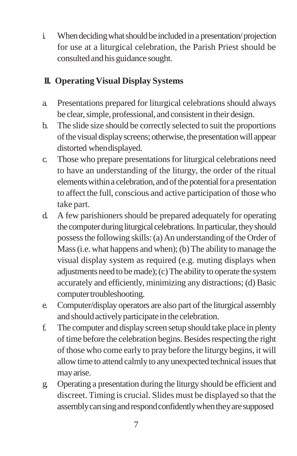i. When deciding what should be included in a presentation/projection for use at a liturgical celebration, the Parish Priest should be consulted and his guidance sought.

# **II. Operating Visual Display Systems**

- a. Presentations prepared for liturgical celebrations should always be clear, simple, professional, and consistent in their design.
- b. The slide size should be correctly selected to suit the proportions of the visual display screens; otherwise, the presentation will appear distorted whendisplayed.
- c. Those who prepare presentations for liturgical celebrations need to have an understanding of the liturgy, the order of the ritual elements within a celebration, and of the potential for a presentation to affect the full, conscious and active participation of those who take part.
- d. A few parishioners should be prepared adequately for operating the computer during liturgical celebrations. In particular, they should possessthe following skills:(a)An understanding of the Order of Mass (i.e. what happens and when); (b) The ability to manage the visual display system as required (e.g. muting displays when adjustments need to be made); (c) The ability to operate the system accurately and efficiently, minimizing any distractions; (d) Basic computer troubleshooting.
- e. Computer/display operators are also part of the liturgical assembly and should actively participate in the celebration.
- f. The computer and display screen setup should take place in plenty of time before the celebration begins. Besides respecting the right of those who come early to pray before the liturgy begins, it will allowtime to attend calmly to anyunexpected technical issuesthat mayarise.
- g. Operating a presentation during the liturgy should be efficient and discreet. Timing is crucial. Slides must be displayed so that the assemblycansingandrespondconfidentlywhentheyaresupposed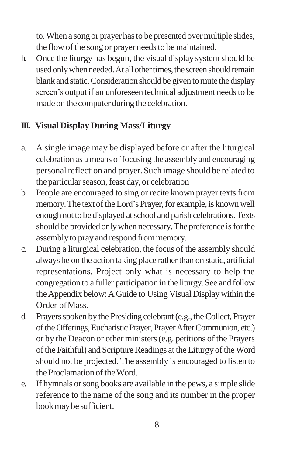to. When a song or prayer has to be presented over multiple slides, the flow of the song or prayer needs to be maintained.

h. Once the liturgy has begun, the visual display system should be used only when needed. At all other times, the screen should remain blank and static. Consideration should be given to mute the display screen's output if an unforeseen technical adjustment needs to be made on the computer during the celebration.

## **III. Visual Display During Mass/Liturgy**

- a. A single image may be displayed before or after the liturgical celebration as a means of focusing the assembly and encouraging personal reflection and prayer. Such image should be related to the particular season, feast day, or celebration
- b. People are encouraged to sing or recite known prayer texts from memory. The text of the Lord's Prayer, for example, is known well enough not to be displayed atschool and parish celebrations.Texts should be provided only when necessary. The preference is for the assembly to pray and respond from memory.
- c. During a liturgical celebration, the focus of the assembly should always be on the action taking place ratherthan on static, artificial representations. Project only what is necessary to help the congregation to a fuller participation in the liturgy. See and follow the Appendix below: A Guide to Using Visual Display within the Order ofMass.
- d. Prayers spoken by the Presiding celebrant (e.g., the Collect, Prayer of the Offerings, Eucharistic Prayer, Prayer After Communion, etc.) or by the Deacon or other ministers(e.g. petitions of the Prayers of the Faithful) and Scripture Readings at the Liturgy of the Word should not be projected. The assembly is encouraged to listen to the Proclamation of the Word.
- e. If hymnals orsong books are available in the pews, a simple slide reference to the name of the song and its number in the proper bookmaybe sufficient.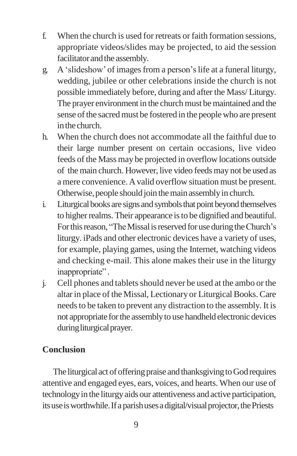- f. When the church is used for retreats or faith formation sessions, appropriate videos/slides may be projected, to aid the session facilitator and the assembly.
- g. A 'slideshow' of images from a person's life at a funeral liturgy, wedding, jubilee or other celebrations inside the church is not possible immediately before, during and after the Mass/ Liturgy. The prayer environment in the church must be maintained and the sense of the sacred must be fostered in the people who are present in the church.
- h. When the church does not accommodate all the faithful due to their large number present on certain occasions, live video feeds of the Mass may be projected in overflow locations outside of the main church. However, live video feedsmay not be used as a mere convenience.Avalid overflow situation must be present. Otherwise, people should join the main assembly in church.
- i. Liturgical books are signs and symbols that point beyond themselves to higher realms. Their appearance is to be dignified and beautiful. For this reason, "The Missal is reserved for use during the Church's liturgy. iPads and other electronic devices have a variety of uses, for example, playing games, using the Internet, watching videos and checking e-mail. This alone makes their use in the liturgy inappropriate".
- j. Cell phones and tablets should never be used at the ambo or the altar in place of the Missal, Lectionary or Liturgical Books. Care needs to be taken to prevent any distraction to the assembly. It is not appropriate for the assembly to use handheld electronic devices during liturgical prayer.

## **Conclusion**

The liturgical act of offering praise and thanksgiving to God requires attentive and engaged eyes, ears, voices, and hearts. When our use of technologyin the liturgyaidsour attentiveness and active participation, its use is worthwhile. If a parish uses a digital/visual projector, the Priests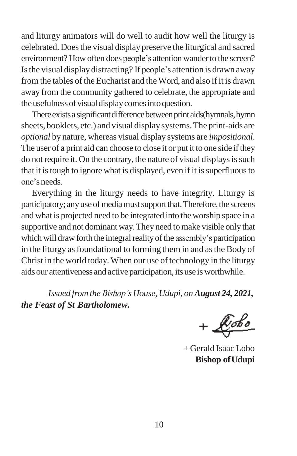and liturgy animators will do well to audit how well the liturgy is celebrated. Doesthe visual display preserve the liturgical and sacred environment? How often does people's attention wander to the screen? Isthe visual displaydistracting? If people's attention is drawn away from the tables of the Eucharist and the Word, and also if it is drawn away from the community gathered to celebrate, the appropriate and the usefulness of visual display comes into question.

There exists a significant difference between print aids(hymnals, hymn sheets, booklets, etc.) and visual displaysystems.The print-aids are *optional* by nature, whereas visual display systems are *impositional*. The user of a print aid can choose to close it or put it to one side if they do not require it. On the contrary, the nature of visual displays is such that it is tough to ignore what is displayed, even if it is superfluous to one's needs.

Everything in the liturgy needs to have integrity. Liturgy is participatory; any use of media must support that. Therefore, the screens and what is projected need to be integrated into the worship space in a supportive and not dominant way.They need to make visible only that which will draw forth the integral reality of the assembly's participation in the liturgy asfoundational to forming them in and asthe Body of Christ in the world today. When our use of technology in the liturgy aids our attentiveness and active participation, its use is worthwhile.

*Issued from the Bishop'sHouse, Udupi, on August 24, 2021, the Feast of St Bartholomew.*

 $+$  $\sqrt{\mathscr{C}^{bbo}}$ 

+ Gerald Isaac Lobo **Bishop ofUdupi**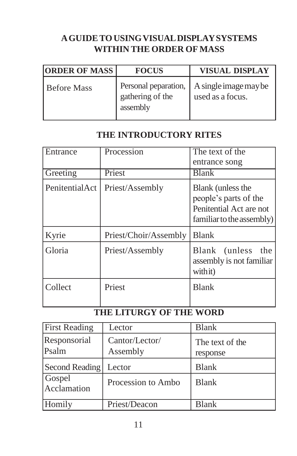## **AGUIDETOUSINGVISUALDISPLAYSYSTEMS WITHIN THE ORDER OF MASS**

| <b>ORDER OF MASS</b> | <b>FOCUS</b>                                         | <b>VISUAL DISPLAY</b>                     |
|----------------------|------------------------------------------------------|-------------------------------------------|
| <b>Before Mass</b>   | Personal peparation,<br>gathering of the<br>assembly | A single image may be<br>used as a focus. |

#### **THE INTRODUCTORY RITES**

| Entrance       | Procession            | The text of the<br>entrance song                                                                   |
|----------------|-----------------------|----------------------------------------------------------------------------------------------------|
| Greeting       | Priest                | <b>Blank</b>                                                                                       |
| PenitentialAct | Priest/Assembly       | Blank (unless the<br>people's parts of the<br>Penitential Act are not<br>familiar to the assembly) |
| Kyrie          | Priest/Choir/Assembly | <b>Blank</b>                                                                                       |
| Gloria         | Priest/Assembly       | (unless)<br><b>Blank</b><br>the<br>assembly is not familiar<br>with it)                            |
| Collect        | Priest                | <b>Blank</b>                                                                                       |

#### **THE LITURGY OF THE WORD**

| <b>First Reading</b>  | Lector                     | <b>Blank</b>                |
|-----------------------|----------------------------|-----------------------------|
| Responsorial<br>Psalm | Cantor/Lector/<br>Assembly | The text of the<br>response |
| Second Reading        | Lector                     | <b>Blank</b>                |
| Gospel<br>Acclamation | Procession to Ambo         | <b>Blank</b>                |
| Homily                | Priest/Deacon              | <b>Blank</b>                |